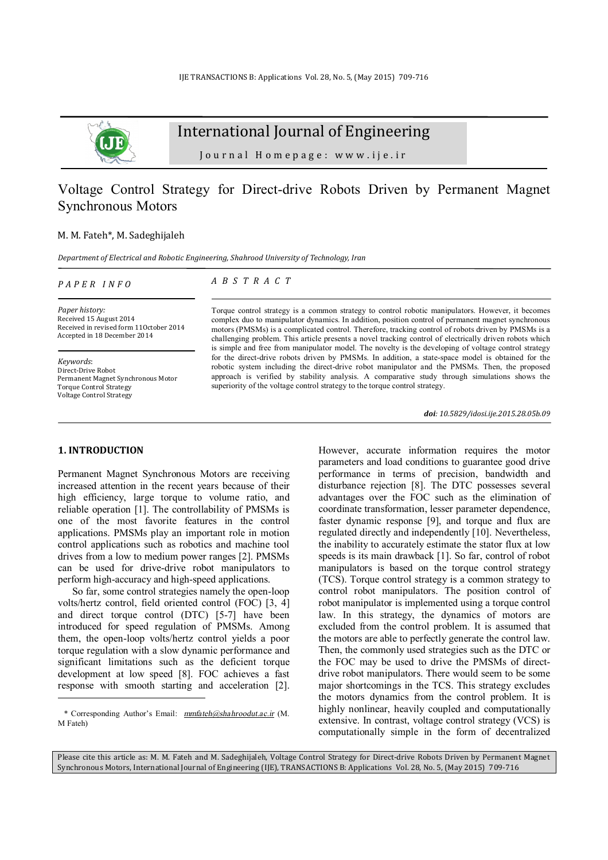

International Journal of Engineering

Journal Homepage: www.ije.ir

## Voltage Control Strategy for Direct-drive Robots Driven by Permanent Magnet Synchronous Motors

## M. M. Fateh\*, M. Sadeghijaleh

*Department of Electrical and Robotic Engineering, Shahrood University of Technology, Iran* 

*P A P E R I N F O*

## *A B S T R A C T*

*Paper history:*  Received 15 August 2014 Received in revised form 11October 2014 Accepted in 18 December 2014

*Keywords*: Direct-Drive Robot Permanent Magnet Synchronous Motor Torque Control Strategy Voltage Control Strategy

Torque control strategy is a common strategy to control robotic manipulators. However, it becomes complex duo to manipulator dynamics. In addition, position control of permanent magnet synchronous motors (PMSMs) is a complicated control. Therefore, tracking control of robots driven by PMSMs is a challenging problem. This article presents a novel tracking control of electrically driven robots which is simple and free from manipulator model. The novelty is the developing of voltage control strategy for the direct-drive robots driven by PMSMs. In addition, a state-space model is obtained for the robotic system including the direct-drive robot manipulator and the PMSMs. Then, the proposed approach is verified by stability analysis. A comparative study through simulations shows the superiority of the voltage control strategy to the torque control strategy.

*doi: 10.5829/idosi.ije.2015.28.05b.09*

### **1. INTRODUCTION<sup>1</sup>**

-

Permanent Magnet Synchronous Motors are receiving increased attention in the recent years because of their high efficiency, large torque to volume ratio, and reliable operation [1]. The controllability of PMSMs is one of the most favorite features in the control applications. PMSMs play an important role in motion control applications such as robotics and machine tool drives from a low to medium power ranges [2]. PMSMs can be used for drive-drive robot manipulators to perform high-accuracy and high-speed applications.

So far, some control strategies namely the open-loop volts/hertz control, field oriented control (FOC) [3, 4] and direct torque control (DTC) [5-7] have been introduced for speed regulation of PMSMs. Among them, the open-loop volts/hertz control yields a poor torque regulation with a slow dynamic performance and significant limitations such as the deficient torque development at low speed [8]. FOC achieves a fast response with smooth starting and acceleration [2]. However, accurate information requires the motor parameters and load conditions to guarantee good drive performance in terms of precision, bandwidth and disturbance rejection [8]. The DTC possesses several advantages over the FOC such as the elimination of coordinate transformation, lesser parameter dependence, faster dynamic response [9], and torque and flux are regulated directly and independently [10]. Nevertheless, the inability to accurately estimate the stator flux at low speeds is its main drawback [1]. So far, control of robot manipulators is based on the torque control strategy (TCS). Torque control strategy is a common strategy to control robot manipulators. The position control of robot manipulator is implemented using a torque control law. In this strategy, the dynamics of motors are excluded from the control problem. It is assumed that the motors are able to perfectly generate the control law. Then, the commonly used strategies such as the DTC or the FOC may be used to drive the PMSMs of directdrive robot manipulators. There would seem to be some major shortcomings in the TCS. This strategy excludes the motors dynamics from the control problem. It is highly nonlinear, heavily coupled and computationally extensive. In contrast, voltage control strategy (VCS) is computationally simple in the form of decentralized

Please cite this article as: M. M. Fateh and M. Sadeghijaleh, Voltage Control Strategy for Direct-drive Robots Driven by Permanent Magnet Synchronous Motors, International Journal of Engineering (IJE), TRANSACTIONS B: Applications Vol. 28, No. 5, (May 2015) 709-716

<sup>\*</sup> Corresponding Author's Email: *[mmfateh@shahroodut.ac.ir](mailto:mmfateh@shahroodut.ac.ir)* (M. M Fateh)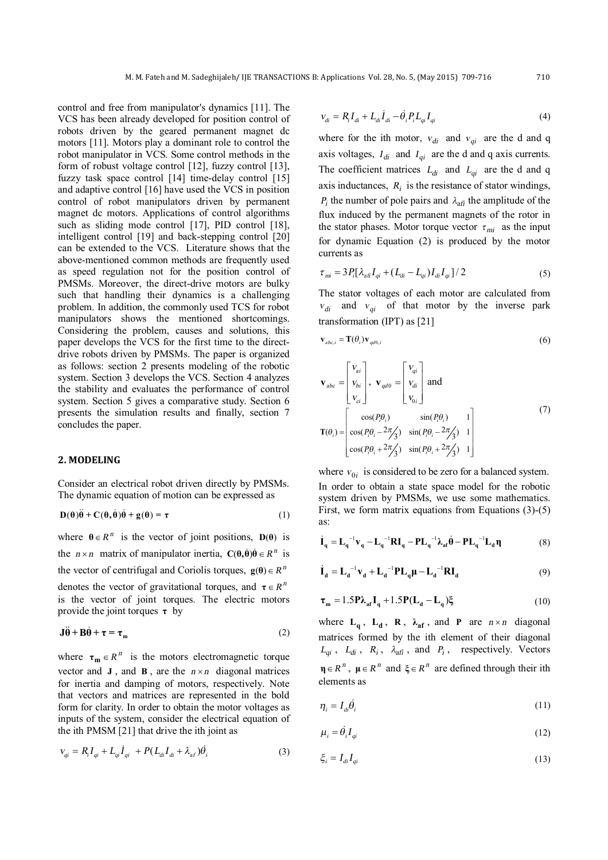control and free from manipulator's dynamics [11]. The VCS has been already developed for position control of robots driven by the geared permanent magnet dc motors [11]. Motors play a dominant role to control the robot manipulator in VCS. Some control methods in the form of robust voltage control [12], fuzzy control [13], fuzzy task space control [14] time-delay control [15] and adaptive control [16] have used the VCS in position control of robot manipulators driven by permanent magnet dc motors. Applications of control algorithms such as sliding mode control [17], PID control [18], intelligent control [19] and back-stepping control [20] can be extended to the VCS. Literature shows that the above-mentioned common methods are frequently used as speed regulation not for the position control of PMSMs. Moreover, the direct-drive motors are bulky such that handling their dynamics is a challenging problem. In addition, the commonly used TCS for robot manipulators shows the mentioned shortcomings. Considering the problem, causes and solutions, this paper develops the VCS for the first time to the directdrive robots driven by PMSMs. The paper is organized as follows: section 2 presents modeling of the robotic system. Section 3 develops the VCS. Section 4 analyzes the stability and evaluates the performance of control system. Section 5 gives a comparative study. Section 6 presents the simulation results and finally, section 7 concludes the paper.

#### **2. MODELING**

Consider an electrical robot driven directly by PMSMs. The dynamic equation of motion can be expressed as

$$
\mathbf{D}(\theta)\ddot{\theta} + \mathbf{C}(\theta,\dot{\theta})\dot{\theta} + \mathbf{g}(\theta) = \tau
$$
 (1)

where  $\theta \in R^n$  is the vector of joint positions,  $D(\theta)$  is the  $n \times n$  matrix of manipulator inertia,  $C(\theta, \dot{\theta})\dot{\theta} \in R^n$  is the vector of centrifugal and Coriolis torques,  $\mathbf{g}(\theta) \in R^n$ 

denotes the vector of gravitational torques, and  $\tau \in R^n$ is the vector of joint torques. The electric motors provide the joint torques **τ** by

$$
\mathbf{J}\ddot{\theta} + \mathbf{B}\dot{\theta} + \boldsymbol{\tau} = \boldsymbol{\tau}_{\mathfrak{m}} \tag{2}
$$

where  $\tau_m \in R^n$  is the motors electromagnetic torque vector and **J**, and **B**, are the  $n \times n$  diagonal matrices for inertia and damping of motors, respectively. Note that vectors and matrices are represented in the bold form for clarity. In order to obtain the motor voltages as inputs of the system, consider the electrical equation of the ith PMSM [21] that drive the ith joint as

$$
v_{qi} = R_i I_{qi} + L_{qi} I_{qi} + P(L_{di} I_{di} + \lambda_{af}) \dot{\theta}_i
$$
\n(3)

$$
v_{di} = R_i I_{di} + L_{di} I_{di} - \dot{\theta}_i P_i L_{qi} I_{qi}
$$
 (4)

where for the ith motor,  $v_{di}$  and  $v_{qi}$  are the d and q axis voltages,  $I_{di}$  and  $I_{qi}$  are the d and q axis currents. The coefficient matrices  $L_{di}$  and  $L_{qi}$  are the d and q axis inductances,  $R_i$  is the resistance of stator windings,  $P_i$  the number of pole pairs and  $\lambda_{\text{aff}}$  the amplitude of the flux induced by the permanent magnets of the rotor in the stator phases. Motor torque vector  $\tau_{mi}$  as the input for dynamic Equation (2) is produced by the motor currents as

$$
\tau_{mi} = 3P_i[\lambda_{a\bar{a}}I_{qi} + (L_{di} - L_{qi})I_{di}I_{qi}] / 2
$$
\n(5)

The stator voltages of each motor are calculated from  $v_{di}$  and  $v_{qi}$  of that motor by the inverse park transformation (IPT) as [21]

$$
\mathbf{v}_{abc,i} = \mathbf{T}(\theta_i) \mathbf{v}_{qd0,i} \tag{6}
$$

$$
\mathbf{v}_{abc} = \begin{bmatrix} v_{ai} \\ v_{bi} \\ v_{ci} \end{bmatrix}, \mathbf{v}_{qd0} = \begin{bmatrix} v_{qi} \\ v_{di} \\ v_{oi} \end{bmatrix} \text{ and}
$$

$$
\mathbf{T}(\theta_i) = \begin{bmatrix} \cos(P_i \theta_i) & \sin(P_i \theta_i) & 1 \\ \cos(P_i \theta_i - 2\pi/3) & \sin(P_i \theta_i - 2\pi/3) & 1 \\ \cos(P_i \theta_i + 2\pi/3) & \sin(P_i \theta_i + 2\pi/3) & 1 \end{bmatrix}
$$
(7)

where  $v_{0i}$  is considered to be zero for a balanced system. In order to obtain a state space model for the robotic system driven by PMSMs, we use some mathematics. First, we form matrix equations from Equations (3)-(5) as:

$$
\dot{\mathbf{I}}_{q} = \mathbf{L}_{q}^{-1} \mathbf{v}_{q} - \mathbf{L}_{q}^{-1} \mathbf{R} \mathbf{I}_{q} - \mathbf{P} \mathbf{L}_{q}^{-1} \lambda_{at} \dot{\theta} - \mathbf{P} \mathbf{L}_{q}^{-1} \mathbf{L}_{d} \eta
$$
 (8)

$$
\dot{\mathbf{I}}_{\mathbf{d}} = \mathbf{L}_{\mathbf{d}}^{-1} \mathbf{v}_{\mathbf{d}} + \mathbf{L}_{\mathbf{d}}^{-1} \mathbf{P} \mathbf{L}_{\mathbf{q}} \boldsymbol{\mu} - \mathbf{L}_{\mathbf{d}}^{-1} \mathbf{R} \mathbf{I}_{\mathbf{d}}
$$
(9)

$$
\boldsymbol{\tau}_{\mathbf{m}} = 1.5 \mathbf{P} \boldsymbol{\lambda}_{\mathbf{a} \mathbf{f}} \mathbf{I}_{\mathbf{q}} + 1.5 \mathbf{P} (\mathbf{L}_{\mathbf{d}} - \mathbf{L}_{\mathbf{q}}) \boldsymbol{\xi}
$$
 (10)

where  $L_q$ ,  $L_d$ ,  $R$ ,  $\lambda_{af}$ , and **P** are  $n \times n$  diagonal matrices formed by the ith element of their diagonal  $L_{qi}$ ,  $L_{di}$ ,  $R_i$ ,  $\lambda_{afi}$ , and  $P_i$ , respectively. Vectors  $\eta \in R^n$ ,  $\mu \in R^n$  and  $\xi \in R^n$  are defined through their ith elements as

$$
\eta_i = I_{di}\dot{\theta}_i \tag{11}
$$

$$
\mu_i = \dot{\theta}_i I_{qi} \tag{12}
$$

$$
\xi_i = I_{di} I_{qi} \tag{13}
$$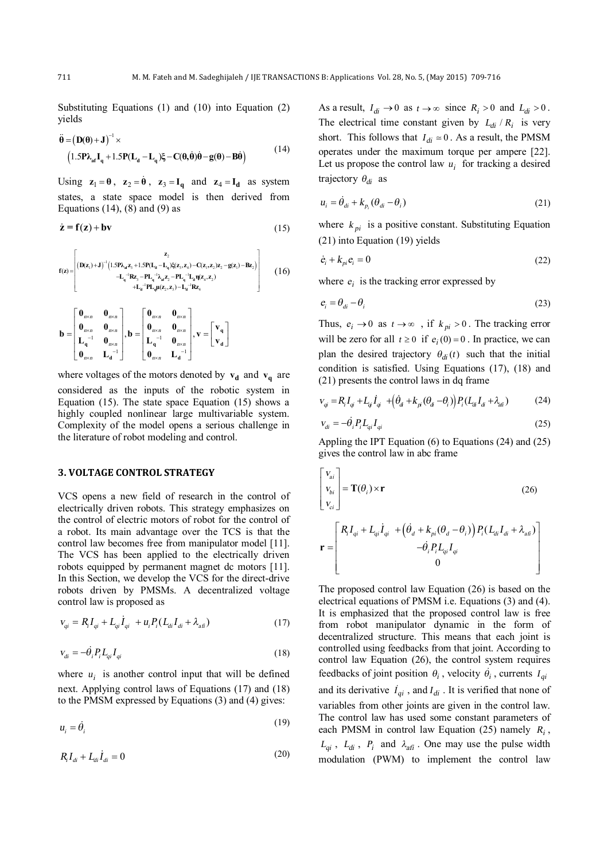Substituting Equations (1) and (10) into Equation (2) yields

$$
\ddot{\theta} = (\mathbf{D}(\theta) + \mathbf{J})^{-1} \times
$$
  
\n
$$
(1.5\mathbf{P}\lambda_{\text{at}}\mathbf{I}_{q} + 1.5\mathbf{P}(\mathbf{L}_{d} - \mathbf{L}_{q})\xi - \mathbf{C}(\theta, \dot{\theta})\dot{\theta} - \mathbf{g}(\theta) - \mathbf{B}\dot{\theta})
$$
\n(14)

Using  $z_1 = \theta$ ,  $z_2 = \dot{\theta}$ ,  $z_3 = I_q$  and  $z_4 = I_d$  as system states, a state space model is then derived from Equations  $(14)$ ,  $(8)$  and  $(9)$  as

$$
\dot{\mathbf{z}} = \mathbf{f}(\mathbf{z}) + \mathbf{b}\mathbf{v} \tag{15}
$$

$$
f(z) = \begin{bmatrix} z_2 \\ (\mathbf{D}(z_1)+\mathbf{J})^{-1} (1.5P\lambda_{st} z_3 + 1.5P(L_4 - L_4) \xi(z_3, z_4) - C(z_1, z_2) z_2 - g(z_1) - Bz_2) \\ -L_4^{-1} Rz_3 - P L_4^{-1} \lambda_{st} z_2 - P L_4^{-1} L_4 \eta(z_4, z_2) \\ +L_4^{-1} P L_4 \mu(z_2, z_3) - L_4^{-1} Rz_4 \end{bmatrix} \tag{16}
$$

$$
\mathbf{b} = \begin{bmatrix} \mathbf{0}_{n \times n} & \mathbf{0}_{n \times n} \\ \mathbf{0}_{n \times n} & \mathbf{0}_{n \times n} \\ \mathbf{L}_q^{-1} & \mathbf{0}_{n \times n} \\ \mathbf{0}_{n \times n} & \mathbf{L}_d^{-1} \end{bmatrix}, \mathbf{b} = \begin{bmatrix} \mathbf{0}_{n \times n} & \mathbf{0}_{n \times n} \\ \mathbf{0}_{n \times n} & \mathbf{0}_{n \times n} \\ \mathbf{L}_q^{-1} & \mathbf{0}_{n \times n} \\ \mathbf{0}_{n \times n} & \mathbf{L}_d^{-1} \end{bmatrix}, \mathbf{v} = \begin{bmatrix} \mathbf{v}_q \\ \mathbf{v}_d \end{bmatrix}
$$

where voltages of the motors denoted by  $v_d$  and  $v_q$  are considered as the inputs of the robotic system in Equation (15). The state space Equation (15) shows a highly coupled nonlinear large multivariable system. Complexity of the model opens a serious challenge in the literature of robot modeling and control.

#### **3. VOLTAGE CONTROL STRATEGY**

VCS opens a new field of research in the control of electrically driven robots. This strategy emphasizes on the control of electric motors of robot for the control of a robot. Its main advantage over the TCS is that the control law becomes free from manipulator model [11]. The VCS has been applied to the electrically driven robots equipped by permanent magnet dc motors [11]. In this Section, we develop the VCS for the direct-drive robots driven by PMSMs. A decentralized voltage control law is proposed as

$$
v_{qi} = R_i I_{qi} + L_{qi} \dot{I}_{qi} + u_i P_i (L_{di} I_{di} + \lambda_{afi})
$$
\n(17)

$$
v_{di} = -\dot{\theta}_i P_i L_{qi} I_{qi} \tag{18}
$$

where  $u_i$  is another control input that will be defined next. Applying control laws of Equations (17) and (18) to the PMSM expressed by Equations (3) and (4) gives:

$$
u_i = \dot{\theta}_i \tag{19}
$$

$$
R_i I_{di} + L_{di} \dot{I}_{di} = 0 \tag{20}
$$

As a result,  $I_{di} \rightarrow 0$  as  $t \rightarrow \infty$  since  $R_i > 0$  and  $L_{di} > 0$ . The electrical time constant given by  $L_{di} / R_i$  is very short. This follows that  $I_{di} \approx 0$ . As a result, the PMSM operates under the maximum torque per ampere [22]. Let us propose the control law  $u_i$  for tracking a desired trajectory  $\theta_{di}$  as

$$
u_i = \dot{\theta}_{di} + k_{p_i} (\theta_{di} - \theta_i)
$$
 (21)

where  $k_{pi}$  is a positive constant. Substituting Equation (21) into Equation (19) yields

$$
\dot{e}_i + k_{pi} e_i = 0 \tag{22}
$$

where  $e_i$  is the tracking error expressed by

$$
e_i = \theta_{di} - \theta_i \tag{23}
$$

Thus,  $e_i \rightarrow 0$  as  $t \rightarrow \infty$ , if  $k_{pi} > 0$ . The tracking error will be zero for all  $t \ge 0$  if  $e_i(0) = 0$ . In practice, we can plan the desired trajectory  $\theta_{di}$  (*t*) such that the initial condition is satisfied. Using Equations (17), (18) and (21) presents the control laws in dq frame

$$
V_{qi} = R_i I_{qi} + L_{qi} \dot{I}_{qi} + \left(\dot{\theta}_{a} + k_{pi} (\theta_{a} - \theta_{i})\right) P_i (L_{di} I_{di} + \lambda_{di})
$$
 (24)

$$
v_{di} = -\dot{\theta}_i P_i L_{qi} I_{qi} \tag{25}
$$

Appling the IPT Equation (6) to Equations (24) and (25) gives the control law in abc frame

$$
\begin{bmatrix}\nV_{ai} \\
V_{bi} \\
V_{ci}\n\end{bmatrix} = \mathbf{T}(\theta_i) \times \mathbf{r}
$$
\n
$$
\mathbf{T} = \begin{bmatrix}\nR_i I_{qi} + L_{qi} \dot{I}_{qi} + \left(\dot{\theta}_d + k_{pi} (\theta_d - \theta_i)\right) P_i (L_{di} I_{di} + \lambda_{afi}) \\
-\dot{\theta} P_i L_i I_{ci}\n\end{bmatrix}
$$
\n(26)

&

= -

**r**

*i i qi qi*

 $P_i L_{ai} I$ 

10  
\nThe proposed control law Equation (26) is based on the electrical equations of PMSM i.e. Equations (3) and (4). It is emphasized that the proposed control law is free from robot manipulator dynamic in the form of decentralized structure. This means that each joint is controlled using feedbacks from that joint. According to control law Equation (26), the control system requires feedbacks of joint position 
$$
θ_i
$$
, velocity  $θ_i$ , currents  $I_{qi}$  and its derivative  $I_{qi}$ , and  $I_{di}$ . It is verified that none of variables from other joints are given in the control law. The control law has used some constant parameters of each PMSM in control law Equation (25) namely  $R_i$ ,  $L_{qi}$ ,  $L_{di}$ ,  $P_i$  and  $λ_{afi}$ . One may use the pulse width

modulation (PWM) to implement the control law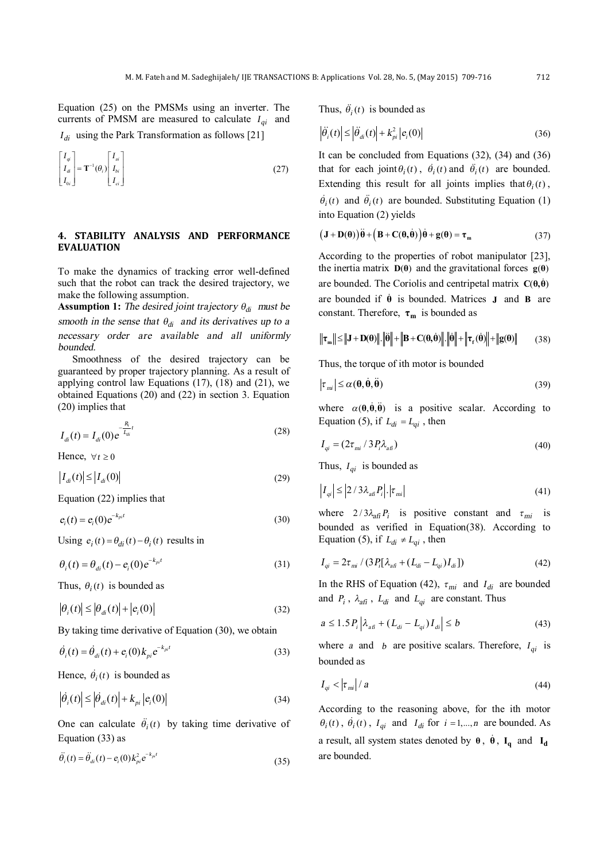Equation (25) on the PMSMs using an inverter. The currents of PMSM are measured to calculate  $I_{qi}$  and

*di <sup>I</sup>* using the Park Transformation as follows [21]

$$
\begin{bmatrix} I_{qi} \\ I_{di} \\ I_{oi} \end{bmatrix} = \mathbf{T}^{-1}(\theta_i) \begin{bmatrix} I_{ai} \\ I_{bi} \\ I_{ci} \end{bmatrix}
$$
\n(27)

## **4. STABILITY ANALYSIS AND PERFORMANCE EVALUATION**

To make the dynamics of tracking error well-defined such that the robot can track the desired trajectory, we make the following assumption.

**Assumption 1:** The desired joint trajectory  $\theta_{di}$  must be *smooth* in the sense that  $\theta_{di}$  and its derivatives up to a *necessary order are available and all uniformly bounded.* 

Smoothness of the desired trajectory can be guaranteed by proper trajectory planning. As a result of applying control law Equations (17), (18) and (21), we obtained Equations (20) and (22) in section 3. Equation (20) implies that

$$
I_{di}(t) = I_{di}(0)e^{-\frac{R_i}{L_{di}}t}
$$
\n(28)

Hence,  $\forall t \geq 0$ 

$$
\left|I_{di}(t)\right| \le \left|I_{di}(0)\right| \tag{29}
$$

Equation (22) implies that

$$
e_i(t) = e_i(0)e^{-k_{pi}t}
$$
\n(30)

Using  $e_i(t) = \theta_{di}(t) - \theta_i(t)$  results in

$$
\theta_i(t) = \theta_{di}(t) - e_i(0)e^{-k_{pi}t}
$$
\n(31)

Thus,  $\theta_i(t)$  is bounded as

$$
\left|\theta_{i}(t)\right| \leq \left|\theta_{di}(t)\right| + \left|e_{i}(0)\right| \tag{32}
$$

By taking time derivative of Equation (30), we obtain

$$
\dot{\theta}_i(t) = \dot{\theta}_{di}(t) + e_i(0)k_{pi}e^{-k_{pi}t}
$$
\n(33)

Hence,  $\dot{\theta}$ <sub>*i*</sub>(*t*) is bounded as

$$
\left|\dot{\theta}_i(t)\right| \le \left|\dot{\theta}_{di}(t)\right| + k_{pi} \left|e_i(0)\right| \tag{34}
$$

One can calculate  $\ddot{\theta}_i(t)$  by taking time derivative of Equation (33) as

$$
\ddot{\theta_i}(t) = \ddot{\theta}_{di}(t) - e_i(0) k_{pi}^2 e^{-k_{pi}t}
$$
\n(35)

Thus,  $\ddot{\theta}_i(t)$  is bounded as

$$
\left|\ddot{\theta}_{i}(t)\right| \leq \left|\ddot{\theta}_{di}(t)\right| + k_{pi}^{2} \left|e_{i}(0)\right| \tag{36}
$$

It can be concluded from Equations (32), (34) and (36) that for each joint  $\theta_i(t)$ ,  $\dot{\theta}_i(t)$  and  $\ddot{\theta}_i(t)$  are bounded. Extending this result for all joints implies that  $\theta_i(t)$ ,  $\dot{\theta}_i(t)$  and  $\ddot{\theta}_i(t)$  are bounded. Substituting Equation (1) into Equation (2) yields

$$
(\mathbf{J} + \mathbf{D}(\boldsymbol{\theta}))\ddot{\boldsymbol{\theta}} + (\mathbf{B} + \mathbf{C}(\boldsymbol{\theta}, \dot{\boldsymbol{\theta}}))\dot{\boldsymbol{\theta}} + \mathbf{g}(\boldsymbol{\theta}) = \boldsymbol{\tau}_{m}
$$
(37)

According to the properties of robot manipulator [23], the inertia matrix  $D(\theta)$  and the gravitational forces  $g(\theta)$ are bounded. The Coriolis and centripetal matrix  $C(\theta, \dot{\theta})$ are bounded if **θ** & is bounded. Matrices **J** and **B** are constant. Therefore, **τ<sup>m</sup>** is bounded as

$$
\|\boldsymbol{\tau}_{m}\| \leq \|\mathbf{J} + \mathbf{D}(\boldsymbol{\theta})\| \cdot \|\boldsymbol{\ddot{\theta}}\| + \|\mathbf{B} + \mathbf{C}(\boldsymbol{\theta},\boldsymbol{\dot{\theta}})\| \cdot \|\boldsymbol{\dot{\theta}}\| + \|\boldsymbol{\tau}_{r}(\boldsymbol{\dot{\theta}})\| + \| \mathbf{g}(\boldsymbol{\theta})\|
$$
 (38)

Thus, the torque of ith motor is bounded

$$
|\tau_{mi}| \leq \alpha(\mathbf{\theta}, \dot{\mathbf{\theta}}, \ddot{\mathbf{\theta}}) \tag{39}
$$

where  $\alpha(\theta, \dot{\theta}, \ddot{\theta})$  is a positive scalar. According to Equation (5), if  $L_{di} = L_{qi}$ , then

$$
I_{qi} = (2\tau_{mi} / 3P_i \lambda_{afi})
$$
\n(40)

Thus,  $I_{qi}$  is bounded as

$$
\left|I_{qi}\right| \leq \left|2/3\lambda_{a\bar{a}}P_{i}\right| \cdot \left|\tau_{mi}\right| \tag{41}
$$

where  $2/3\lambda_{\text{aff}} P_i$  is positive constant and  $\tau_{\text{mi}}$  is bounded as verified in Equation(38). According to Equation (5), if  $L_{di} \neq L_{qi}$ , then

$$
I_{qi} = 2\tau_{mi} / (3P_i[\lambda_{a\bar{u}} + (L_{di} - L_{qi})I_{di}])
$$
\n(42)

In the RHS of Equation (42),  $\tau_{mi}$  and  $I_{di}$  are bounded and  $P_i$ ,  $\lambda_{\text{aff}}$ ,  $L_{di}$  and  $L_{qi}$  are constant. Thus

$$
a \le 1.5 P_i \left| \lambda_{a\bar{a}} + (L_{\bar{a}} - L_{qi}) I_{\bar{a}} \right| \le b \tag{43}
$$

where *a* and *b* are positive scalars. Therefore,  $I_{qi}$  is bounded as

$$
I_{qi} < \left|\tau_{mi}\right| / a \tag{44}
$$

According to the reasoning above, for the ith motor  $\theta_i(t)$ ,  $\dot{\theta}_i(t)$ ,  $I_{qi}$  and  $I_{di}$  for  $i = 1,...,n$  are bounded. As a result, all system states denoted by  $\theta$ ,  $\dot{\theta}$ ,  $I_q$  and  $I_d$ are bounded.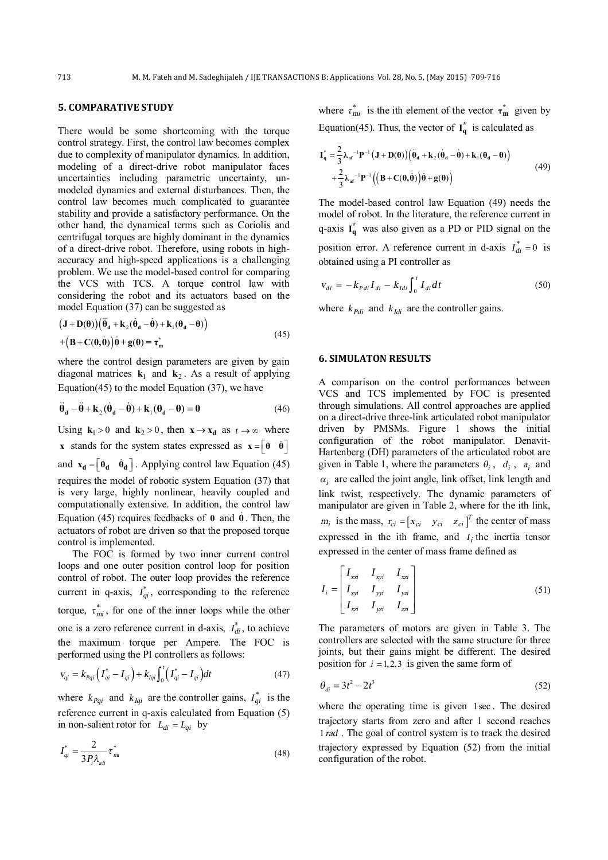## **5. COMPARATIVE STUDY**

There would be some shortcoming with the torque control strategy. First, the control law becomes complex due to complexity of manipulator dynamics. In addition, modeling of a direct-drive robot manipulator faces uncertainties including parametric uncertainty, unmodeled dynamics and external disturbances. Then, the control law becomes much complicated to guarantee stability and provide a satisfactory performance. On the other hand, the dynamical terms such as Coriolis and centrifugal torques are highly dominant in the dynamics of a direct-drive robot. Therefore, using robots in highaccuracy and high-speed applications is a challenging problem. We use the model-based control for comparing the VCS with TCS. A torque control law with considering the robot and its actuators based on the model Equation (37) can be suggested as

$$
(\mathbf{J} + \mathbf{D}(\theta))(\ddot{\theta}_d + \mathbf{k}_2(\dot{\theta}_d - \dot{\theta}) + \mathbf{k}_1(\theta_d - \theta))
$$
  
+ 
$$
(\mathbf{B} + \mathbf{C}(\theta, \dot{\theta}))\dot{\theta} + \mathbf{g}(\theta) = \tau_m^*
$$
 (45)

where the control design parameters are given by gain diagonal matrices  $\mathbf{k}_1$  and  $\mathbf{k}_2$ . As a result of applying Equation(45) to the model Equation  $(37)$ , we have

$$
\ddot{\theta}_d - \ddot{\theta} + k_2 (\dot{\theta}_d - \dot{\theta}) + k_1 (\theta_d - \theta) = 0
$$
\n(46)

Using  $\mathbf{k}_1 > 0$  and  $\mathbf{k}_2 > 0$ , then  $\mathbf{x} \to \mathbf{x}_d$  as  $t \to \infty$  where **x** stands for the system states expressed as  $\mathbf{x} = \begin{bmatrix} \theta & \dot{\theta} \end{bmatrix}$ and  $\mathbf{x_d} = \begin{bmatrix} \theta_d & \dot{\theta}_d \end{bmatrix}$ . Applying control law Equation (45) requires the model of robotic system Equation (37) that is very large, highly nonlinear, heavily coupled and computationally extensive. In addition, the control law Equation (45) requires feedbacks of  $\theta$  and  $\dot{\theta}$ . Then, the actuators of robot are driven so that the proposed torque control is implemented.

The FOC is formed by two inner current control loops and one outer position control loop for position control of robot. The outer loop provides the reference current in q-axis,  $I_{qi}^*$ , corresponding to the reference torque,  $\tau_{mi}^*$ , for one of the inner loops while the other one is a zero reference current in d-axis,  $I_{di}^*$ , to achieve the maximum torque per Ampere. The FOC is performed using the PI controllers as follows:

$$
V_{qi} = k_{Pqi} \left( I_{qi}^{*} - I_{qi} \right) + k_{Iqi} \int_{0}^{t} \left( I_{qi}^{*} - I_{qi} \right) dt \tag{47}
$$

where  $k_{Pqi}$  and  $k_{Iqi}$  are the controller gains,  $I_{qi}^{*}$  is the reference current in q-axis calculated from Equation (5) in non-salient rotor for  $L_{di} = L_{qi}$  by

$$
I_{qi}^* = \frac{2}{3P_i \lambda_{a\bar{u}}} \tau_{mi}^*
$$
\n(48)

where  $\tau_{mi}^*$  is the ith element of the vector  $\tau_{m}^*$  given by Equation(45). Thus, the vector of  $I_q^*$  is calculated as

$$
\mathbf{I}_{\mathbf{q}}^{*} = \frac{2}{3} \lambda_{\mathbf{a} \mathbf{r}}^{-1} \mathbf{P}^{-1} (\mathbf{J} + \mathbf{D}(\theta)) (\ddot{\theta}_{\mathbf{d}} + \mathbf{k}_{2} (\dot{\theta}_{\mathbf{d}} - \dot{\theta}) + \mathbf{k}_{1} (\theta_{\mathbf{d}} - \theta))
$$
  
+ 
$$
\frac{2}{3} \lambda_{\mathbf{a} \mathbf{r}}^{-1} \mathbf{P}^{-1} ((\mathbf{B} + \mathbf{C}(\theta, \dot{\theta})) \dot{\theta} + \mathbf{g}(\theta))
$$
(49)

The model-based control law Equation (49) needs the model of robot. In the literature, the reference current in q-axis  $I_q^*$  was also given as a PD or PID signal on the position error. A reference current in d-axis  $I_{di}^{*} = 0$  is obtained using a PI controller as

$$
v_{di} = -k_{Pdi} I_{di} - k_{Idi} \int_{0}^{t} I_{di} dt
$$
 (50)

where  $k_{Pdi}$  and  $k_{Idi}$  are the controller gains.

### **6. SIMULATON RESULTS**

A comparison on the control performances between VCS and TCS implemented by FOC is presented through simulations. All control approaches are applied on a direct-drive three-link articulated robot manipulator driven by PMSMs. Figure 1 shows the initial configuration of the robot manipulator. Denavit-Hartenberg (DH) parameters of the articulated robot are given in Table 1, where the parameters  $\theta_i$ ,  $d_i$ ,  $a_i$  and  $\alpha_i$  are called the joint angle, link offset, link length and link twist, respectively. The dynamic parameters of manipulator are given in Table 2, where for the ith link,  $m_i$  is the mass,  $r_{ci} = [x_{ci} \quad y_{ci} \quad z_{ci}]^T$  the center of mass expressed in the ith frame, and  $I_i$  the inertia tensor expressed in the center of mass frame defined as

$$
I_{i} = \begin{bmatrix} I_{xxi} & I_{xyi} & I_{xzi} \\ I_{xyi} & I_{yyi} & I_{yzi} \\ I_{xzi} & I_{yzi} & I_{zzi} \end{bmatrix}
$$
 (51)

The parameters of motors are given in Table 3. The controllers are selected with the same structure for three joints, but their gains might be different. The desired position for  $i = 1, 2, 3$  is given the same form of

$$
\theta_{di} = 3t^2 - 2t^3 \tag{52}
$$

where the operating time is given 1sec . The desired trajectory starts from zero and after 1 second reaches 1*rad* . The goal of control system is to track the desired trajectory expressed by Equation (52) from the initial configuration of the robot.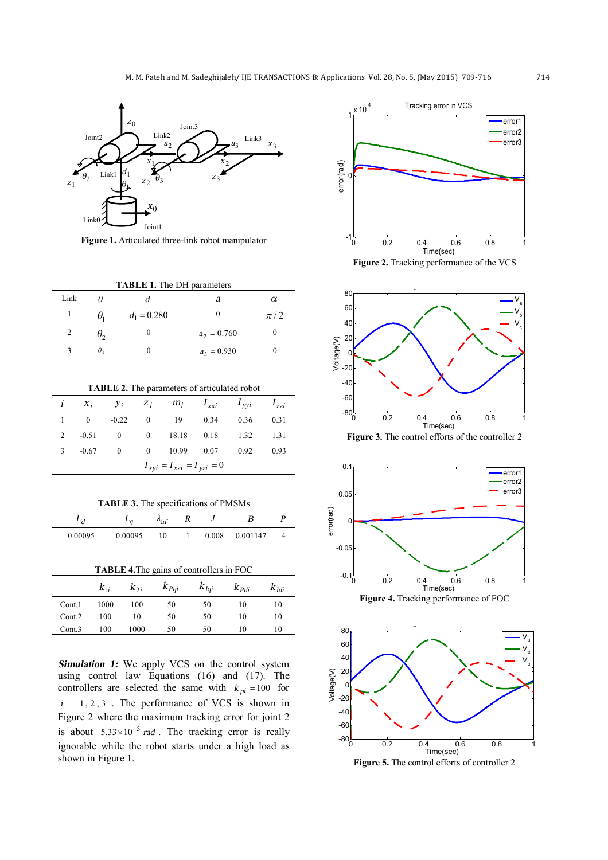

**Figure 1.** Articulated three-link robot manipulator

| <b>TABLE 1.</b> The DH parameters |  |               |  |         |  |  |
|-----------------------------------|--|---------------|--|---------|--|--|
| Link                              |  |               |  |         |  |  |
|                                   |  | $d_1 = 0.280$ |  | $\pi/2$ |  |  |

|    | $d_1 = 0.280$ |               | $\pi$ / $\zeta$ |
|----|---------------|---------------|-----------------|
| ゖ  |               | $a_2 = 0.760$ |                 |
| υ, |               | $a_3 = 0.930$ |                 |

**TABLE 2.** The parameters of articulated robot

|                                   |  |  |  |  |  | $i \quad x_i \quad y_i \quad z_j \quad m_i \quad I_{xxi} \quad I_{yyi} \quad I_{zzi}$ |  |
|-----------------------------------|--|--|--|--|--|---------------------------------------------------------------------------------------|--|
|                                   |  |  |  |  |  | 1 0 -0.22 0 19 0.34 0.36 0.31                                                         |  |
|                                   |  |  |  |  |  | 2 -0.51 0 0 18.18 0.18 1.32 1.31                                                      |  |
|                                   |  |  |  |  |  | 3 -0.67 0 0 10.99 0.07 0.92 0.93                                                      |  |
| $I_{xyi} = I_{xzi} = I_{vzi} = 0$ |  |  |  |  |  |                                                                                       |  |

| <b>TABLE 3.</b> The specifications of PMSMs |         |                      |  |  |                |  |  |
|---------------------------------------------|---------|----------------------|--|--|----------------|--|--|
|                                             |         | $\lambda_{\rm af}$ K |  |  |                |  |  |
| 0.00095                                     | 0.00095 | 10                   |  |  | 0.008 0.001147 |  |  |

**TABLE 4.**The gains of controllers in FOC

|        |      |      |      |    | $k_{1i}$ $k_{2i}$ $k_{Pqi}$ $k_{Iqi}$ $k_{Pdi}$ $k_{Idi}$ |    |
|--------|------|------|------|----|-----------------------------------------------------------|----|
| Cont.1 | 1000 | 100  | - 50 | 50 | 10                                                        | 10 |
| Cont.2 | 100  | 10   | 50   | 50 | 10                                                        | 10 |
| Cont.3 | 100  | 1000 | 50   | 50 | 10                                                        | 10 |

*Simulation 1:* We apply VCS on the control system using control law Equations (16) and (17). The controllers are selected the same with  $k_{pi} = 100$  for  $i = 1, 2, 3$ . The performance of VCS is shown in Figure 2 where the maximum tracking error for joint 2 is about  $5.33 \times 10^{-5}$  *rad*. The tracking error is really ignorable while the robot starts under a high load as shown in Figure 1.



**Figure 2.** Tracking performance of the VCS



**Figure 3.** The control efforts of the controller 2





**Figure 5.** The control efforts of controller 2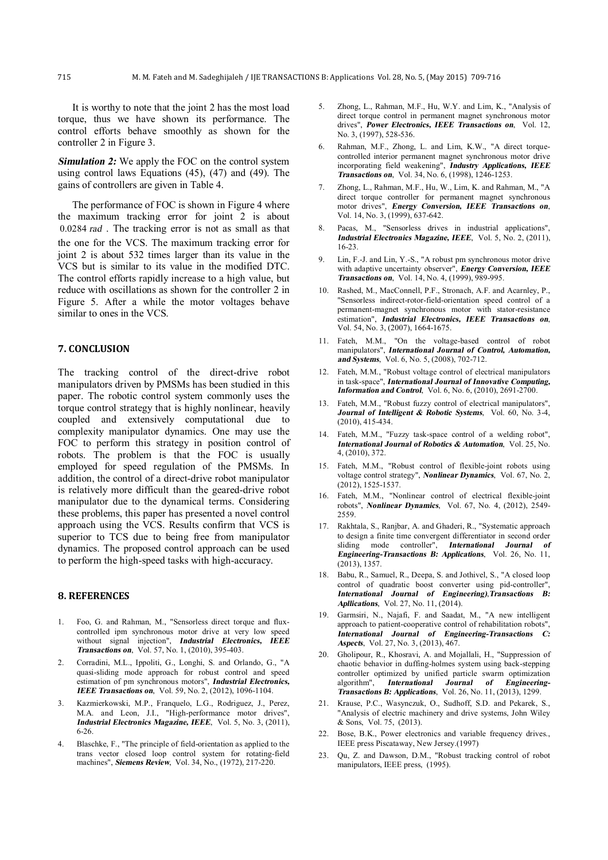It is worthy to note that the joint 2 has the most load torque, thus we have shown its performance. The control efforts behave smoothly as shown for the controller 2 in Figure 3.

**Simulation 2:** We apply the FOC on the control system using control laws Equations (45), (47) and (49). The gains of controllers are given in Table 4.

The performance of FOC is shown in Figure 4 where the maximum tracking error for joint 2 is about 0.0284 *rad* . The tracking error is not as small as that the one for the VCS. The maximum tracking error for joint 2 is about 532 times larger than its value in the VCS but is similar to its value in the modified DTC. The control efforts rapidly increase to a high value, but reduce with oscillations as shown for the controller 2 in Figure 5. After a while the motor voltages behave similar to ones in the VCS.

## **7. CONCLUSION**

The tracking control of the direct-drive robot manipulators driven by PMSMs has been studied in this paper. The robotic control system commonly uses the torque control strategy that is highly nonlinear, heavily coupled and extensively computational due to complexity manipulator dynamics. One may use the FOC to perform this strategy in position control of robots. The problem is that the FOC is usually employed for speed regulation of the PMSMs. In addition, the control of a direct-drive robot manipulator is relatively more difficult than the geared-drive robot manipulator due to the dynamical terms. Considering these problems, this paper has presented a novel control approach using the VCS. Results confirm that VCS is superior to TCS due to being free from manipulator dynamics. The proposed control approach can be used to perform the high-speed tasks with high-accuracy.

## **8. REFERENCES**

- 1. Foo, G. and Rahman, M., "Sensorless direct torque and fluxcontrolled ipm synchronous motor drive at very low speed without signal injection", *Industrial Electronics, IEEE Transactions on*, Vol. 57, No. 1, (2010), 395-403.
- 2. Corradini, M.L., Ippoliti, G., Longhi, S. and Orlando, G., "A quasi-sliding mode approach for robust control and speed estimation of pm synchronous motors", *Industrial Electronics, IEEE Transactions on*, Vol. 59, No. 2, (2012), 1096-1104.
- 3. Kazmierkowski, M.P., Franquelo, L.G., Rodriguez, J., Perez, M.A. and Leon, J.I., "High-performance motor drives", *Industrial Electronics Magazine, IEEE*, Vol. 5, No. 3, (2011), 6-26.
- 4. Blaschke, F., "The principle of field-orientation as applied to the trans vector closed loop control system for rotating-field machines", *Siemens Review*, Vol. 34, No., (1972), 217-220.
- 5. Zhong, L., Rahman, M.F., Hu, W.Y. and Lim, K., "Analysis of direct torque control in permanent magnet synchronous motor drives", *Power Electronics, IEEE Transactions on*, Vol. 12, No. 3, (1997), 528-536.
- 6. Rahman, M.F., Zhong, L. and Lim, K.W., "A direct torquecontrolled interior permanent magnet synchronous motor drive incorporating field weakening", *Industry Applications, IEEE Transactions on*, Vol. 34, No. 6, (1998), 1246-1253.
- 7. Zhong, L., Rahman, M.F., Hu, W., Lim, K. and Rahman, M., "A direct torque controller for permanent magnet synchronous motor drives", *Energy Conversion, IEEE Transactions on*, Vol. 14, No. 3, (1999), 637-642.
- 8. Pacas, M., "Sensorless drives in industrial applications", *Industrial Electronics Magazine, IEEE*, Vol. 5, No. 2, (2011), 16-23.
- 9. Lin, F.-J. and Lin, Y.-S., "A robust pm synchronous motor drive with adaptive uncertainty observer", *Energy Conversion, IEEE Transactions on*, Vol. 14, No. 4, (1999), 989-995.
- 10. Rashed, M., MacConnell, P.F., Stronach, A.F. and Acarnley, P., "Sensorless indirect-rotor-field-orientation speed control of a permanent-magnet synchronous motor with stator-resistance estimation", *Industrial Electronics, IEEE Transactions on*, Vol. 54, No. 3, (2007), 1664-1675.
- 11. Fateh, M.M., "On the voltage-based control of robot manipulators", *International Journal of Control, Automation, and Systems*, Vol. 6, No. 5, (2008), 702-712.
- 12. Fateh, M.M., "Robust voltage control of electrical manipulators in task-space", *International Journal of Innovative Computing, Information and Control*, Vol. 6, No. 6, (2010), 2691-2700.
- 13. Fateh, M.M., "Robust fuzzy control of electrical manipulators", *Journal of Intelligent & Robotic Systems*, Vol. 60, No. 3-4,  $(2010)$ , 415-434.
- 14. Fateh, M.M., "Fuzzy task-space control of a welding robot", *International Journal of Robotics & Automation*, Vol. 25, No. 4, (2010), 372.
- 15. Fateh, M.M., "Robust control of flexible-joint robots using voltage control strategy", *Nonlinear Dynamics*, Vol. 67, No. 2, (2012), 1525-1537.
- 16. Fateh, M.M., "Nonlinear control of electrical flexible-joint robots", *Nonlinear Dynamics*, Vol. 67, No. 4, (2012), 2549- 2559.
- 17. Rakhtala, S., Ranjbar, A. and Ghaderi, R., "Systematic approach to design a finite time convergent differentiator in second order sliding mode controller", *International Journal of Engineering-Transactions B: Applications*, Vol. 26, No. 11, (2013), 1357.
- 18. Babu, R., Samuel, R., Deepa, S. and Jothivel, S., "A closed loop control of quadratic boost converter using pid-controller", *International Journal of Engineering)*,*Transactions B: Apllications*, Vol. 27, No. 11, (2014).
- 19. Garmsiri, N., Najafi, F. and Saadat, M., "A new intelligent approach to patient-cooperative control of rehabilitation robots", *International Journal of Engineering-Transactions C: Aspects*, Vol. 27, No. 3, (2013), 467.
- 20. Gholipour, R., Khosravi, A. and Mojallali, H., "Suppression of chaotic behavior in duffing-holmes system using back-stepping controller optimized by unified particle swarm optimization algorithm", *International Journal of Engineering-Transactions B: Applications*, Vol. 26, No. 11, (2013), 1299.
- 21. Krause, P.C., Wasynczuk, O., Sudhoff, S.D. and Pekarek, S., "Analysis of electric machinery and drive systems, John Wiley & Sons, Vol. 75, (2013).
- 22. Bose, B.K., Power electronics and variable frequency drives., IEEE press Piscataway, New Jersey.(1997)
- 23. Qu, Z. and Dawson, D.M., "Robust tracking control of robot manipulators, IEEE press, (1995).